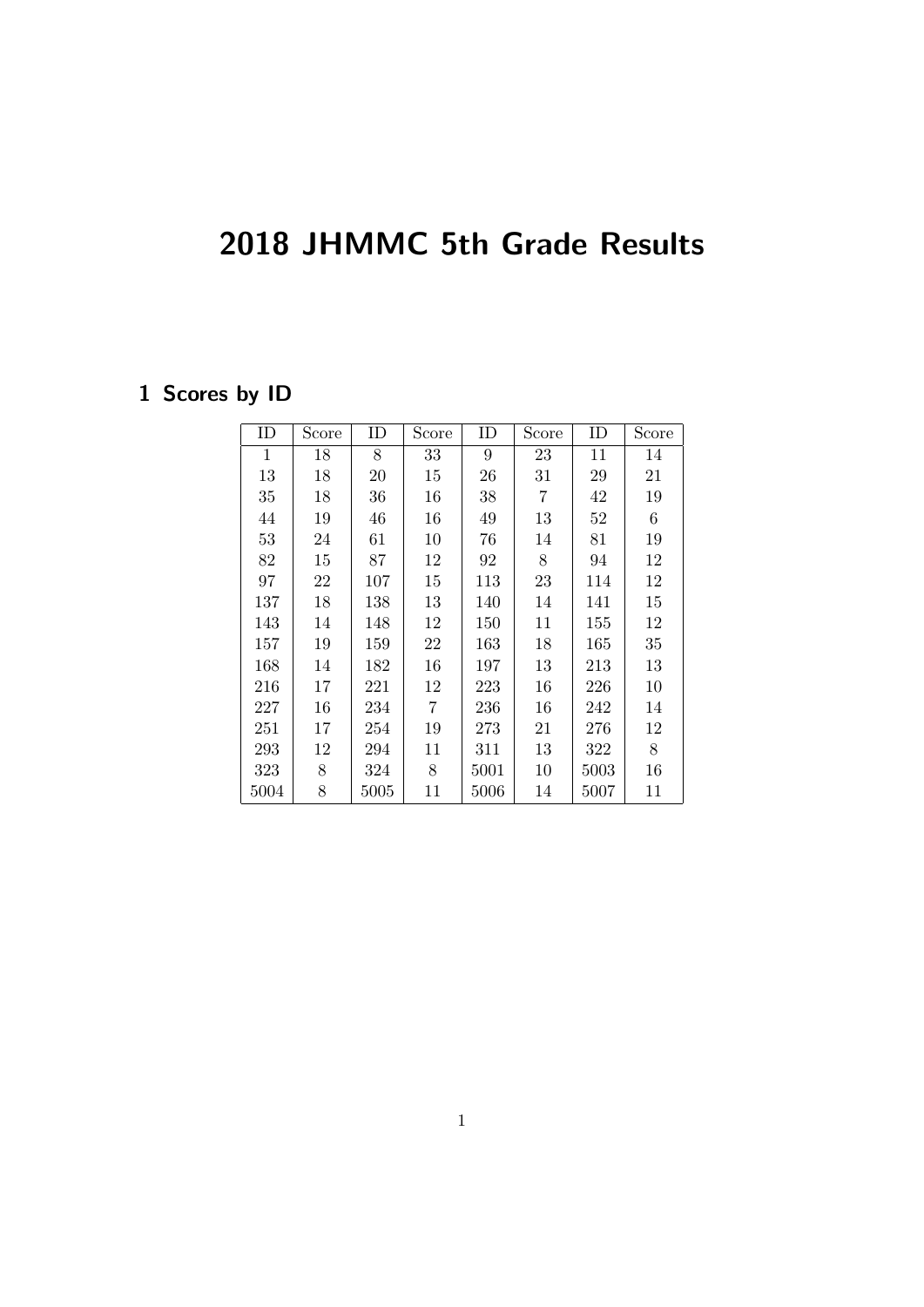## 2018 JHMMC 5th Grade Results

## 1 Scores by ID

| ID           | Score | ID   | Score          | ID   | Score | ID   | Score |
|--------------|-------|------|----------------|------|-------|------|-------|
| $\mathbf{1}$ | 18    | 8    | 33             | 9    | 23    | 11   | 14    |
| 13           | 18    | 20   | 15             | 26   | 31    | 29   | 21    |
| 35           | 18    | 36   | 16             | 38   | 7     | 42   | 19    |
| 44           | 19    | 46   | 16             | 49   | 13    | 52   | $\,6$ |
| 53           | 24    | 61   | 10             | 76   | 14    | 81   | 19    |
| 82           | 15    | 87   | 12             | 92   | 8     | 94   | 12    |
| 97           | 22    | 107  | 15             | 113  | 23    | 114  | 12    |
| 137          | 18    | 138  | 13             | 140  | 14    | 141  | 15    |
| 143          | 14    | 148  | 12             | 150  | 11    | 155  | 12    |
| 157          | 19    | 159  | 22             | 163  | 18    | 165  | 35    |
| 168          | 14    | 182  | 16             | 197  | 13    | 213  | 13    |
| 216          | 17    | 221  | 12             | 223  | 16    | 226  | 10    |
| 227          | 16    | 234  | $\overline{7}$ | 236  | 16    | 242  | 14    |
| 251          | 17    | 254  | 19             | 273  | 21    | 276  | 12    |
| 293          | 12    | 294  | 11             | 311  | 13    | 322  | $8\,$ |
| 323          | 8     | 324  | 8              | 5001 | 10    | 5003 | 16    |
| 5004         | 8     | 5005 | 11             | 5006 | 14    | 5007 | 11    |